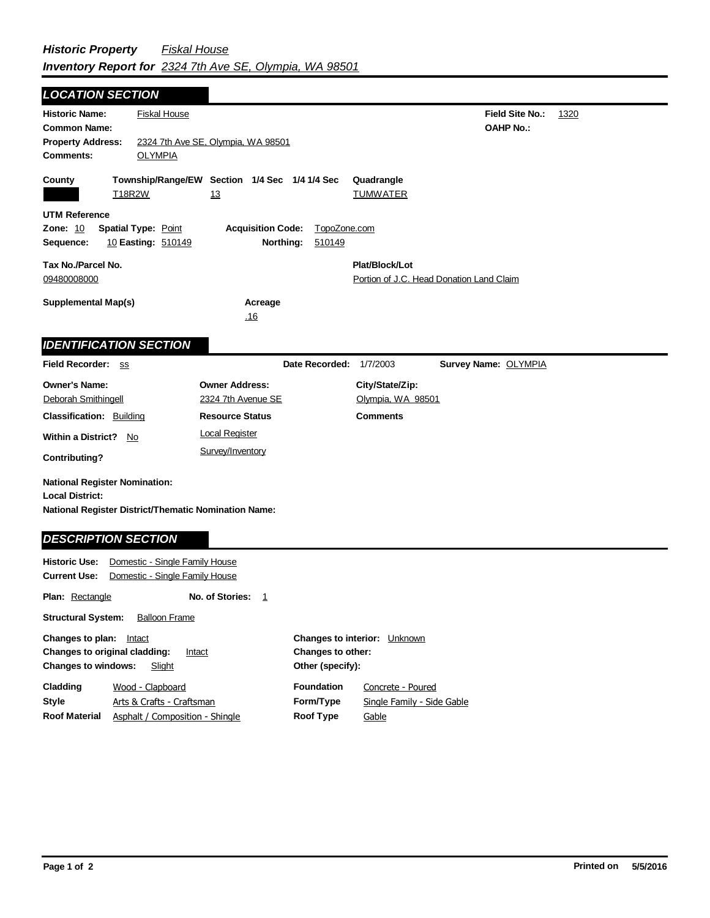**Field Site No.:** 1320 **OAHP No.: Historic Name:** Fiskal House **Common Name: County Plat/Block/Lot** Portion of J.C. Head Donation Land Claim **Acreage** .16 **Supplemental Map(s) Tax No./Parcel No.** 09480008000 **Property Address:** 2324 7th Ave SE, Olympia, WA 98501 *LOCATION SECTION* **Comments:** OLYMPIA **Quadrangle UTM Reference Township/Range/EW Section 1/4 Sec 1/4 1/4 Sec Owner Address:** 2324 7th Avenue SE Field Recorder: ss **Owner's Name:** Deborah Smithingell **City/State/Zip:** Olympia, WA 98501 **National Register District/Thematic Nomination Name: Local District: Date Recorded:** 1/7/2003 **Classification:** Building **Within a District?** No **Contributing? Comments National Register Nomination: Plan:** Rectangle **Historic Use:** Domestic - Single Family House **Current Use:** Domestic - Single Family House **Structural System:** Balloon Frame **No. of Stories:** 1 **Resource Status Survey Name:** OLYMPIA *IDENTIFICATION SECTION DESCRIPTION SECTION* T18R2W 13 13 TUMWATER **Zone:** 10 **Spatial Type:** Point **Acquisition Code:** TopoZone.com **Sequence:** 10 **Easting:** 510149 **Northing:** 510149 Local Register Survey/Inventory

| <b>Changes to plan:</b>                        | Intact                          |                   | <b>Changes to interior:</b> Unknown |  |
|------------------------------------------------|---------------------------------|-------------------|-------------------------------------|--|
| <b>Changes to original cladding:</b><br>Intact |                                 | Changes to other: |                                     |  |
| <b>Changes to windows:</b>                     | Slight                          | Other (specify):  |                                     |  |
| Cladding                                       | Wood - Clapboard                | <b>Foundation</b> | Concrete - Poured                   |  |
| Style                                          | Arts & Crafts - Craftsman       | Form/Type         | Single Family - Side Gable          |  |
| <b>Roof Material</b>                           | Asphalt / Composition - Shingle | Roof Type         | Gable                               |  |
|                                                |                                 |                   |                                     |  |